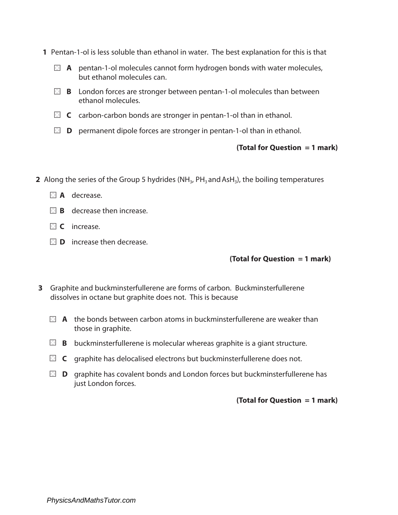- **1** Pentan-1-ol is less soluble than ethanol in water. The best explanation for this is that
	- **A** pentan-1-ol molecules cannot form hydrogen bonds with water molecules, but ethanol molecules can.
	- **B B** London forces are stronger between pentan-1-ol molecules than between ethanol molecules.
	- **EX** C carbon-carbon bonds are stronger in pentan-1-ol than in ethanol.
	- **D** permanent dipole forces are stronger in pentan-1-ol than in ethanol.

- **2** Along the series of the Group 5 hydrides (NH<sub>3</sub>, PH<sub>3</sub> and AsH<sub>3</sub>), the boiling temperatures
	- **A** decrease.
	- **B** decrease then increase.
	- **C** increase.
	- **D** increase then decrease.

## **(Total for Question = 1 mark)**

- **3** Graphite and buckminsterfullerene are forms of carbon. Buckminsterfullerene dissolves in octane but graphite does not. This is because
	- **A** the bonds between carbon atoms in buckminsterfullerene are weaker than those in graphite.
	- **B** buckminsterfullerene is molecular whereas graphite is a giant structure.
	- **C** graphite has delocalised electrons but buckminsterfullerene does not.
	- **D** graphite has covalent bonds and London forces but buckminsterfullerene has just London forces.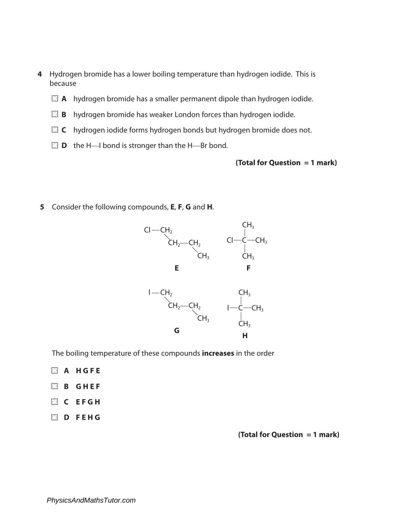- **4** Hydrogen bromide has a lower boiling temperature than hydrogen iodide. This is because
	- **A** hydrogen bromide has a smaller permanent dipole than hydrogen iodide.
	- **B** hydrogen bromide has weaker London forces than hydrogen iodide.
	- **C** hydrogen iodide forms hydrogen bonds but hydrogen bromide does not.
	- $\Box$  **D** the H-I bond is stronger than the H-Br bond.

**5** Consider the following compounds, **E**, **F**, **G** and **H**.



The boiling temperature of these compounds **increases** in the order

- **A H G F E B G H E F C E F G H**
- 
- **D F E H G**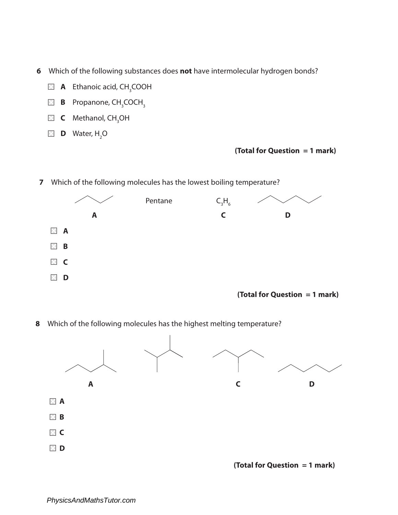- **6** Which of the following substances does **not** have intermolecular hydrogen bonds?
- **A** Ethanoic acid, CH<sub>3</sub>COOH
- **B** Propanone, CH<sub>3</sub>COCH<sub>3</sub>
- **C** Methanol, CH<sub>3</sub>OH
- **D** Water, H<sub>2</sub>O

**7** Which of the following molecules has the lowest boiling temperature?



**(Total for Question = 1 mark)**

**8** Which of the following molecules has the highest melting temperature?

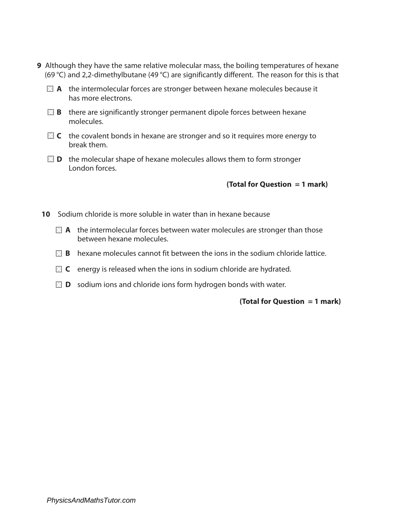- **9** Although they have the same relative molecular mass, the boiling temperatures of hexane (69 °C) and 2,2-dimethylbutane (49 °C) are significantly different. The reason for this is that
	- **A** the intermolecular forces are stronger between hexane molecules because it has more electrons.
	- **B** there are significantly stronger permanent dipole forces between hexane molecules.
	- **C** the covalent bonds in hexane are stronger and so it requires more energy to break them.
	- **D** the molecular shape of hexane molecules allows them to form stronger London forces.

- **10** Sodium chloride is more soluble in water than in hexane because
	- **A** the intermolecular forces between water molecules are stronger than those between hexane molecules.
	- **B** hexane molecules cannot fit between the ions in the sodium chloride lattice.
	- **C** energy is released when the ions in sodium chloride are hydrated.
	- **D** sodium ions and chloride ions form hydrogen bonds with water.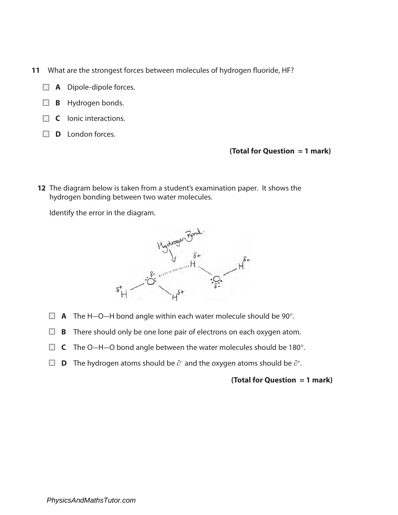- **11** What are the strongest forces between molecules of hydrogen fluoride, HF?
	- **A** Dipole-dipole forces.
	- **B** Hydrogen bonds.
	- **C** lonic interactions.
	- **D** London forces.

**12** The diagram below is taken from a student's examination paper. It shows the hydrogen bonding between two water molecules.

Identify the error in the diagram.



- **A** The H-O-H bond angle within each water molecule should be 90°.
- **B B** There should only be one lone pair of electrons on each oxygen atom.
- C The O–H–O bond angle between the water molecules should be 180°.
- **D** The hydrogen atoms should be  $\partial^{\mathsf{L}}$  and the oxygen atoms should be  $\partial^{\mathsf{L}}$ .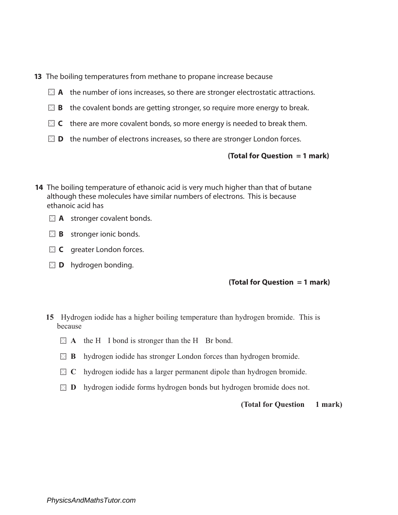- **13** The boiling temperatures from methane to propane increase because
	- **A** the number of ions increases, so there are stronger electrostatic attractions.
	- **B b** the covalent bonds are getting stronger, so require more energy to break.
	- $\blacksquare$  **C** there are more covalent bonds, so more energy is needed to break them.
	- **D b** the number of electrons increases, so there are stronger London forces.

**14** The boiling temperature of ethanoic acid is very much higher than that of butane although these molecules have similar numbers of electrons. This is because ethanoic acid has



- **B** stronger ionic bonds.
- **C** greater London forces.
- **D** hydrogen bonding.

## **(Total for Question = 1 mark)**

- **15** Hydrogen iodide has a higher boiling temperature than hydrogen bromide. This is because
	- **A** the H I bond is stronger than the H Br bond.
	- **B** hydrogen iodide has stronger London forces than hydrogen bromide.
	- **IC** by a hydrogen is consider has a larger permanent dipole than hydrogen bromide.
	- **D hydrogen iodide forms hydrogen bonds but hydrogen bromide does not.**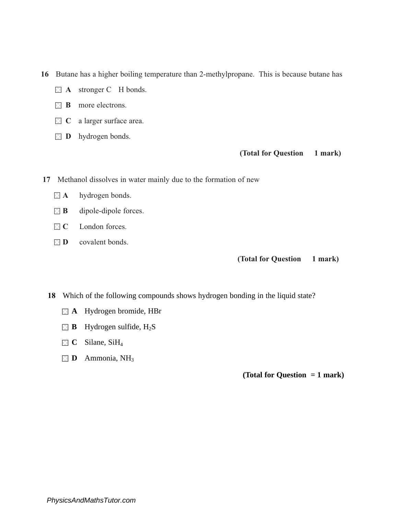**16** Butane has a higher boiling temperature than 2-methylpropane. This is because butane has

- **A** stronger C H bonds.
- **B** more electrons.
- **C** a larger surface area.
- **D hydrogen** bonds.

### **(Total for Question 1 mark)**

**17** Methanol dissolves in water mainly due to the formation of new

- **A** hydrogen bonds.
- **B** dipole-dipole forces.
- $\Box$  **C** London forces.
- **D** covalent bonds.

#### **(Total for Question 1 mark)**

**18** Which of the following compounds shows hydrogen bonding in the liquid state?

- **A** Hydrogen bromide, HBr
- **B** Hydrogen sulfide,  $H_2S$
- **C** Silane, SiH<sub>4</sub>
- **D** Ammonia, NH<sub>3</sub>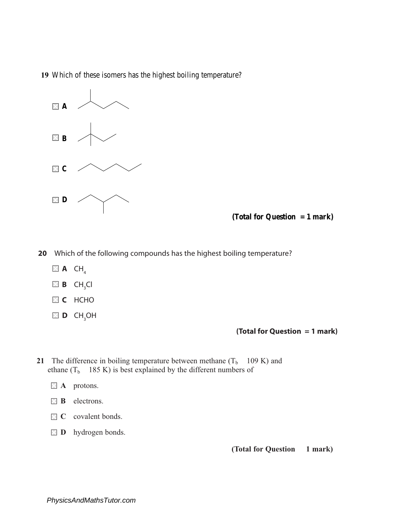**19** Which of these isomers has the highest boiling temperature?



**(Total for Question = 1 mark)**

**20** Which of the following compounds has the highest boiling temperature?

- $\blacksquare$  **A** CH<sub>4</sub>
- $\boxtimes$  **B** CH<sub>3</sub>Cl
	- **C** HCHO
- $\blacksquare$  **D**  $\mathsf{CH}_3\mathsf{OH}$

**(Total for Question = 1 mark)**

- **21** The difference in boiling temperature between methane  $(T_b \t 109 K)$  and ethane  $(T_b \t 185 \text{ K})$  is best explained by the different numbers of
	- **A** protons.
	- **B** electrons.
	- **C** covalent bonds.
	- **D** hydrogen bonds.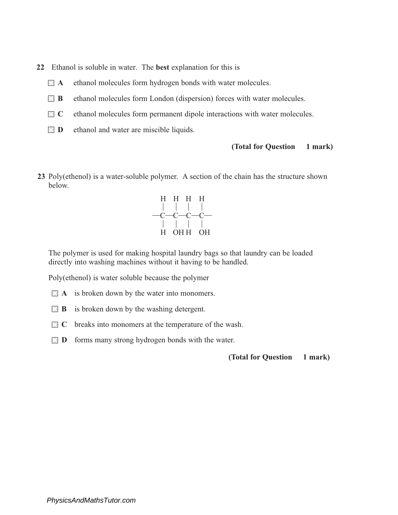- **22** Ethanol is soluble in water. The **best** explanation for this is
	- **A** ethanol molecules form hydrogen bonds with water molecules.
	- **B** ethanol molecules form London (dispersion) forces with water molecules.
	- **C** ethanol molecules form permanent dipole interactions with water molecules.
	- **D** ethanol and water are miscible liquids.

**23** Poly(ethenol) is a water-soluble polymer. A section of the chain has the structure shown below.



The polymer is used for making hospital laundry bags so that laundry can be loaded directly into washing machines without it having to be handled.

Poly(ethenol) is water soluble because the polymer

- **A** is broken down by the water into monomers.
- **B** is broken down by the washing detergent.
- **C** breaks into monomers at the temperature of the wash.
- **D D** forms many strong hydrogen bonds with the water.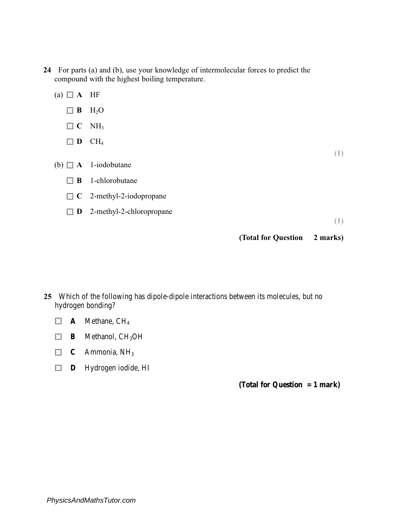- **24** For parts (a) and (b), use your knowledge of intermolecular forces to predict the compound with the highest boiling temperature.
	- (a)  $\blacksquare$  **A** HF **B** H2O **E C NH**<sub>3</sub> **D CH<sub>4</sub> (1)** (b) **A** 1-iodobutane **B** 1-chlorobutane **C** 2-methyl-2-iodopropane **D** 2-methyl-2-chloropropane **(1) (Total for Question 2 marks)**

- **25** Which of the following has dipole-dipole interactions between its molecules, but no hydrogen bonding?
	- $\times$ **A** Methane, CH4
	- $\boxtimes$ **B** Methanol, CH<sub>3</sub>OH
	- $\times$ **C** Ammonia, NH3
	- **D** Hydrogen iodide, HI  $\times$